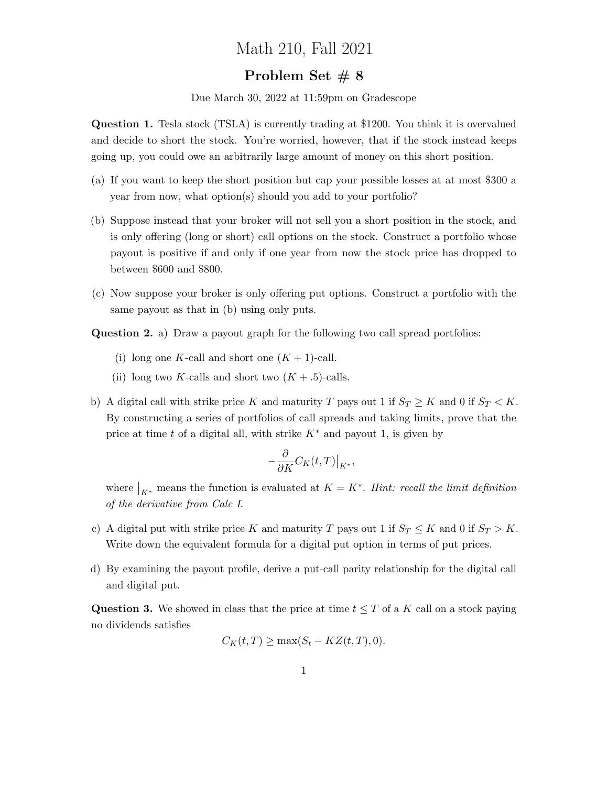## Math 210, Fall 2021

## Problem Set # 8

Due March 30, 2022 at 11:59pm on Gradescope

Question 1. Tesla stock (TSLA) is currently trading at \$1200. You think it is overvalued and decide to short the stock. You're worried, however, that if the stock instead keeps going up, you could owe an arbitrarily large amount of money on this short position.

- (a) If you want to keep the short position but cap your possible losses at at most \$300 a year from now, what option(s) should you add to your portfolio?
- (b) Suppose instead that your broker will not sell you a short position in the stock, and is only offering (long or short) call options on the stock. Construct a portfolio whose payout is positive if and only if one year from now the stock price has dropped to between \$600 and \$800.
- (c) Now suppose your broker is only offering put options. Construct a portfolio with the same payout as that in (b) using only puts.

Question 2. a) Draw a payout graph for the following two call spread portfolios:

- (i) long one K-call and short one  $(K + 1)$ -call.
- (ii) long two K-calls and short two  $(K + .5)$ -calls.
- b) A digital call with strike price K and maturity T pays out 1 if  $S_T \ge K$  and 0 if  $S_T < K$ . By constructing a series of portfolios of call spreads and taking limits, prove that the price at time t of a digital all, with strike  $K^*$  and payout 1, is given by

$$
-\frac{\partial}{\partial K}C_K(t,T)\big|_{K^*},
$$

where  $\big|_{K^*}$  means the function is evaluated at  $K = K^*$ . Hint: recall the limit definition of the derivative from Calc I.

- c) A digital put with strike price K and maturity T pays out 1 if  $S_T \leq K$  and 0 if  $S_T > K$ . Write down the equivalent formula for a digital put option in terms of put prices.
- d) By examining the payout profile, derive a put-call parity relationship for the digital call and digital put.

**Question 3.** We showed in class that the price at time  $t \leq T$  of a K call on a stock paying no dividends satisfies

$$
C_K(t,T) \ge \max(S_t - KZ(t,T), 0).
$$